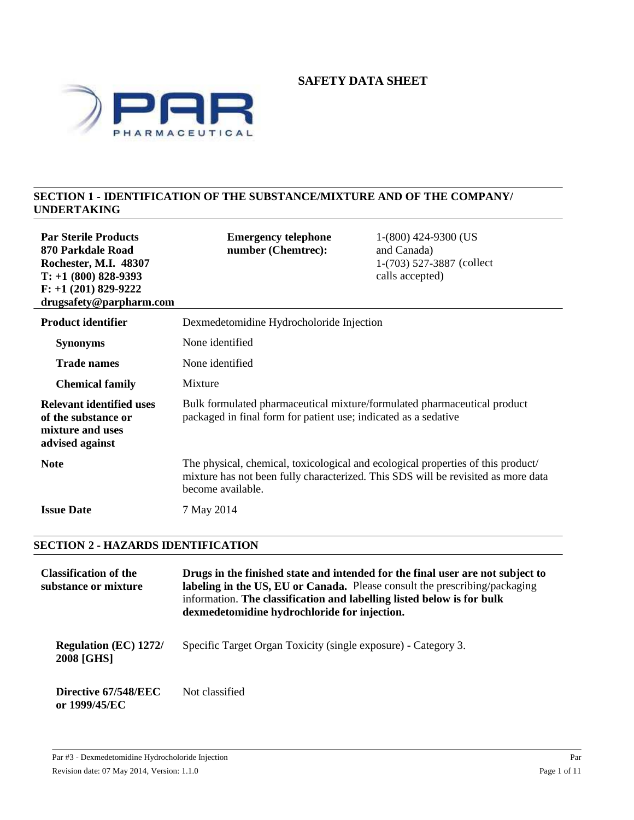



# **SECTION 1 - IDENTIFICATION OF THE SUBSTANCE/MIXTURE AND OF THE COMPANY/ UNDERTAKING**

| <b>Par Sterile Products</b><br>870 Parkdale Road<br>Rochester, M.I. 48307<br>$T: +1$ (800) 828-9393<br>$F: +1(201)$ 829-9222<br>drugsafety@parpharm.com | <b>Emergency telephone</b><br>number (Chemtrec):                                                                                                                                                                                                                                       | 1-(800) 424-9300 (US<br>and Canada)<br>1-(703) 527-3887 (collect<br>calls accepted) |
|---------------------------------------------------------------------------------------------------------------------------------------------------------|----------------------------------------------------------------------------------------------------------------------------------------------------------------------------------------------------------------------------------------------------------------------------------------|-------------------------------------------------------------------------------------|
| <b>Product identifier</b>                                                                                                                               | Dexmedetomidine Hydrocholoride Injection                                                                                                                                                                                                                                               |                                                                                     |
| <b>Synonyms</b>                                                                                                                                         | None identified                                                                                                                                                                                                                                                                        |                                                                                     |
| <b>Trade names</b>                                                                                                                                      | None identified                                                                                                                                                                                                                                                                        |                                                                                     |
| <b>Chemical family</b>                                                                                                                                  | Mixture                                                                                                                                                                                                                                                                                |                                                                                     |
| <b>Relevant identified uses</b><br>of the substance or<br>mixture and uses<br>advised against                                                           | Bulk formulated pharmaceutical mixture/formulated pharmaceutical product<br>packaged in final form for patient use; indicated as a sedative                                                                                                                                            |                                                                                     |
| <b>Note</b>                                                                                                                                             | The physical, chemical, toxicological and ecological properties of this product/<br>mixture has not been fully characterized. This SDS will be revisited as more data<br>become available.                                                                                             |                                                                                     |
| <b>Issue Date</b>                                                                                                                                       | 7 May 2014                                                                                                                                                                                                                                                                             |                                                                                     |
| <b>SECTION 2 - HAZARDS IDENTIFICATION</b>                                                                                                               |                                                                                                                                                                                                                                                                                        |                                                                                     |
| <b>Classification of the</b><br>substance or mixture                                                                                                    | Drugs in the finished state and intended for the final user are not subject to<br>labeling in the US, EU or Canada. Please consult the prescribing/packaging<br>information. The classification and labelling listed below is for bulk<br>dexmedetomidine hydrochloride for injection. |                                                                                     |
| <b>Regulation (EC) 1272/</b><br>2008 [GHS]                                                                                                              | Specific Target Organ Toxicity (single exposure) - Category 3.                                                                                                                                                                                                                         |                                                                                     |
| Directive 67/548/EEC<br>or 1999/45/EC                                                                                                                   | Not classified                                                                                                                                                                                                                                                                         |                                                                                     |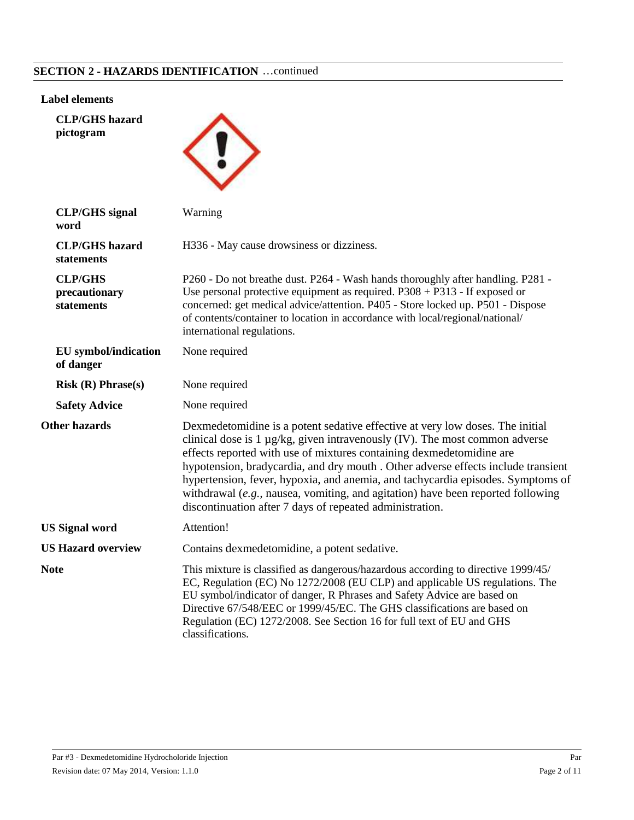# **SECTION 2 - HAZARDS IDENTIFICATION** …continued

#### **Label elements**

**pictogram**

**CLP/GHS hazard**

| <b>CLP/GHS</b> signal<br>word                 | Warning                                                                                                                                                                                                                                                                                                                                                                                                                                                                                                                                                            |  |
|-----------------------------------------------|--------------------------------------------------------------------------------------------------------------------------------------------------------------------------------------------------------------------------------------------------------------------------------------------------------------------------------------------------------------------------------------------------------------------------------------------------------------------------------------------------------------------------------------------------------------------|--|
| <b>CLP/GHS</b> hazard<br>statements           | H336 - May cause drowsiness or dizziness.                                                                                                                                                                                                                                                                                                                                                                                                                                                                                                                          |  |
| <b>CLP/GHS</b><br>precautionary<br>statements | P260 - Do not breathe dust. P264 - Wash hands thoroughly after handling. P281 -<br>Use personal protective equipment as required. $P308 + P313$ - If exposed or<br>concerned: get medical advice/attention. P405 - Store locked up. P501 - Dispose<br>of contents/container to location in accordance with local/regional/national/<br>international regulations.                                                                                                                                                                                                  |  |
| <b>EU</b> symbol/indication<br>of danger      | None required                                                                                                                                                                                                                                                                                                                                                                                                                                                                                                                                                      |  |
| Risk(R) Phrase(s)                             | None required                                                                                                                                                                                                                                                                                                                                                                                                                                                                                                                                                      |  |
| <b>Safety Advice</b>                          | None required                                                                                                                                                                                                                                                                                                                                                                                                                                                                                                                                                      |  |
| <b>Other hazards</b>                          | Dexmedetomidine is a potent sedative effective at very low doses. The initial<br>clinical dose is $1 \mu g/kg$ , given intravenously (IV). The most common adverse<br>effects reported with use of mixtures containing dexmedetomidine are<br>hypotension, bradycardia, and dry mouth. Other adverse effects include transient<br>hypertension, fever, hypoxia, and anemia, and tachycardia episodes. Symptoms of<br>withdrawal $(e.g.,$ nausea, vomiting, and agitation) have been reported following<br>discontinuation after 7 days of repeated administration. |  |
| <b>US Signal word</b>                         | Attention!                                                                                                                                                                                                                                                                                                                                                                                                                                                                                                                                                         |  |
| <b>US Hazard overview</b>                     | Contains dexmedetomidine, a potent sedative.                                                                                                                                                                                                                                                                                                                                                                                                                                                                                                                       |  |
| <b>Note</b>                                   | This mixture is classified as dangerous/hazardous according to directive 1999/45/<br>EC, Regulation (EC) No 1272/2008 (EU CLP) and applicable US regulations. The<br>EU symbol/indicator of danger, R Phrases and Safety Advice are based on<br>Directive 67/548/EEC or 1999/45/EC. The GHS classifications are based on<br>Regulation (EC) 1272/2008. See Section 16 for full text of EU and GHS<br>classifications.                                                                                                                                              |  |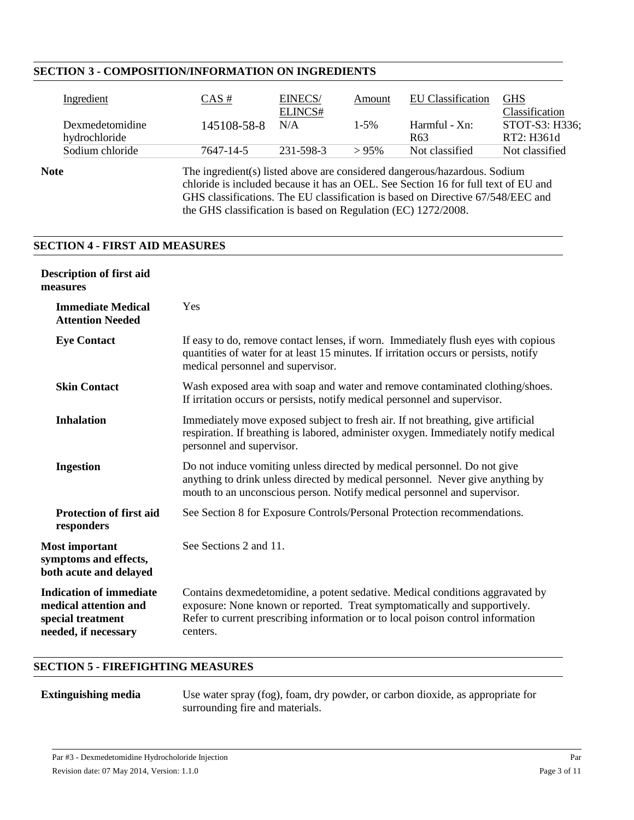### **SECTION 3 - COMPOSITION/INFORMATION ON INGREDIENTS**

| Ingredient                       | $CAS \#$    | EINECS/        | Amount    | <b>EU</b> Classification         | <b>GHS</b>                                     |
|----------------------------------|-------------|----------------|-----------|----------------------------------|------------------------------------------------|
| Dexmedetomidine<br>hydrochloride | 145108-58-8 | ELINCS#<br>N/A | $1 - 5\%$ | Harmful - Xn:<br>R <sub>63</sub> | Classification<br>STOT-S3: H336;<br>RT2: H361d |
| Sodium chloride                  | 7647-14-5   | 231-598-3      | >95%      | Not classified                   | Not classified                                 |
|                                  |             |                |           |                                  |                                                |

**Note** The ingredient(s) listed above are considered dangerous/hazardous. Sodium chloride is included because it has an OEL. See Section 16 for full text of EU and GHS classifications. The EU classification is based on Directive 67/548/EEC and the GHS classification is based on Regulation (EC) 1272/2008.

### **SECTION 4 - FIRST AID MEASURES**

| <b>Description of first aid</b><br>measures                                                          |                                                                                                                                                                                                                                                           |
|------------------------------------------------------------------------------------------------------|-----------------------------------------------------------------------------------------------------------------------------------------------------------------------------------------------------------------------------------------------------------|
| <b>Immediate Medical</b><br><b>Attention Needed</b>                                                  | Yes                                                                                                                                                                                                                                                       |
| <b>Eye Contact</b>                                                                                   | If easy to do, remove contact lenses, if worn. Immediately flush eyes with copious<br>quantities of water for at least 15 minutes. If irritation occurs or persists, notify<br>medical personnel and supervisor.                                          |
| <b>Skin Contact</b>                                                                                  | Wash exposed area with soap and water and remove contaminated clothing/shoes.<br>If irritation occurs or persists, notify medical personnel and supervisor.                                                                                               |
| <b>Inhalation</b>                                                                                    | Immediately move exposed subject to fresh air. If not breathing, give artificial<br>respiration. If breathing is labored, administer oxygen. Immediately notify medical<br>personnel and supervisor.                                                      |
| <b>Ingestion</b>                                                                                     | Do not induce vomiting unless directed by medical personnel. Do not give<br>anything to drink unless directed by medical personnel. Never give anything by<br>mouth to an unconscious person. Notify medical personnel and supervisor.                    |
| <b>Protection of first aid</b><br>responders                                                         | See Section 8 for Exposure Controls/Personal Protection recommendations.                                                                                                                                                                                  |
| <b>Most important</b><br>symptoms and effects,<br>both acute and delayed                             | See Sections 2 and 11.                                                                                                                                                                                                                                    |
| <b>Indication of immediate</b><br>medical attention and<br>special treatment<br>needed, if necessary | Contains dexmedetomidine, a potent sedative. Medical conditions aggravated by<br>exposure: None known or reported. Treat symptomatically and supportively.<br>Refer to current prescribing information or to local poison control information<br>centers. |

#### **SECTION 5 - FIREFIGHTING MEASURES**

**Extinguishing media** Use water spray (fog), foam, dry powder, or carbon dioxide, as appropriate for surrounding fire and materials.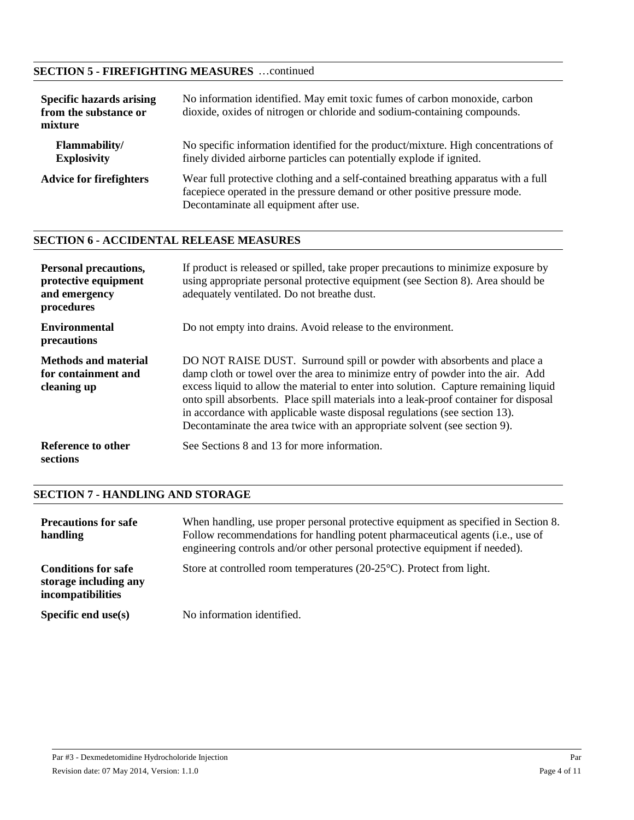### **SECTION 5 - FIREFIGHTING MEASURES** …continued

| <b>Specific hazards arising</b><br>from the substance or<br>mixture | No information identified. May emit toxic fumes of carbon monoxide, carbon<br>dioxide, oxides of nitrogen or chloride and sodium-containing compounds.                                                     |
|---------------------------------------------------------------------|------------------------------------------------------------------------------------------------------------------------------------------------------------------------------------------------------------|
| <b>Flammability/</b><br><b>Explosivity</b>                          | No specific information identified for the product/mixture. High concentrations of<br>finely divided airborne particles can potentially explode if ignited.                                                |
| <b>Advice for firefighters</b>                                      | Wear full protective clothing and a self-contained breathing apparatus with a full<br>facepiece operated in the pressure demand or other positive pressure mode.<br>Decontaminate all equipment after use. |

# **SECTION 6 - ACCIDENTAL RELEASE MEASURES**

| <b>Personal precautions,</b><br>protective equipment<br>and emergency<br>procedures | If product is released or spilled, take proper precautions to minimize exposure by<br>using appropriate personal protective equipment (see Section 8). Area should be<br>adequately ventilated. Do not breathe dust.                                                                                                                                                                                                                                                                                   |
|-------------------------------------------------------------------------------------|--------------------------------------------------------------------------------------------------------------------------------------------------------------------------------------------------------------------------------------------------------------------------------------------------------------------------------------------------------------------------------------------------------------------------------------------------------------------------------------------------------|
| <b>Environmental</b><br>precautions                                                 | Do not empty into drains. Avoid release to the environment.                                                                                                                                                                                                                                                                                                                                                                                                                                            |
| <b>Methods and material</b><br>for containment and<br>cleaning up                   | DO NOT RAISE DUST. Surround spill or powder with absorbents and place a<br>damp cloth or towel over the area to minimize entry of powder into the air. Add<br>excess liquid to allow the material to enter into solution. Capture remaining liquid<br>onto spill absorbents. Place spill materials into a leak-proof container for disposal<br>in accordance with applicable waste disposal regulations (see section 13).<br>Decontaminate the area twice with an appropriate solvent (see section 9). |
| Reference to other<br>sections                                                      | See Sections 8 and 13 for more information.                                                                                                                                                                                                                                                                                                                                                                                                                                                            |

### **SECTION 7 - HANDLING AND STORAGE**

| <b>Precautions for safe</b><br>handling                                  | When handling, use proper personal protective equipment as specified in Section 8.<br>Follow recommendations for handling potent pharmaceutical agents (i.e., use of<br>engineering controls and/or other personal protective equipment if needed). |
|--------------------------------------------------------------------------|-----------------------------------------------------------------------------------------------------------------------------------------------------------------------------------------------------------------------------------------------------|
| <b>Conditions for safe</b><br>storage including any<br>incompatibilities | Store at controlled room temperatures $(20-25\degree C)$ . Protect from light.                                                                                                                                                                      |
| Specific end $use(s)$                                                    | No information identified.                                                                                                                                                                                                                          |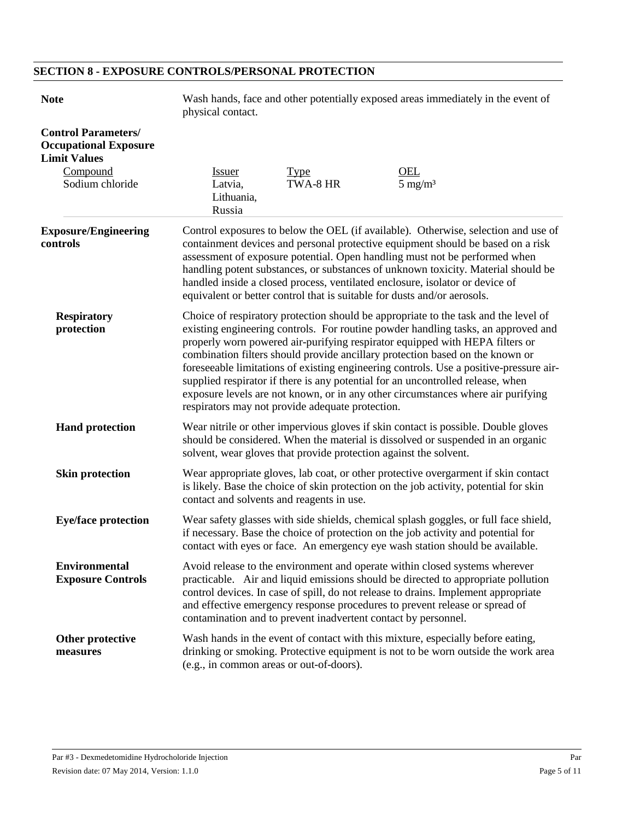# **SECTION 8 - EXPOSURE CONTROLS/PERSONAL PROTECTION**

| <b>Note</b>                                                                                                      | Wash hands, face and other potentially exposed areas immediately in the event of<br>physical contact.                                                                                                                                                                                                                                                                                                                                                                                                                                                                                                                                                          |                         |                                                                                                                                                                                                                                                                                                                                                                                                         |  |
|------------------------------------------------------------------------------------------------------------------|----------------------------------------------------------------------------------------------------------------------------------------------------------------------------------------------------------------------------------------------------------------------------------------------------------------------------------------------------------------------------------------------------------------------------------------------------------------------------------------------------------------------------------------------------------------------------------------------------------------------------------------------------------------|-------------------------|---------------------------------------------------------------------------------------------------------------------------------------------------------------------------------------------------------------------------------------------------------------------------------------------------------------------------------------------------------------------------------------------------------|--|
| <b>Control Parameters/</b><br><b>Occupational Exposure</b><br><b>Limit Values</b><br>Compound<br>Sodium chloride | <b>Issuer</b><br>Latvia,<br>Lithuania,<br>Russia                                                                                                                                                                                                                                                                                                                                                                                                                                                                                                                                                                                                               | <b>Type</b><br>TWA-8 HR | OEL<br>$5 \text{ mg/m}^3$                                                                                                                                                                                                                                                                                                                                                                               |  |
| <b>Exposure/Engineering</b><br>controls                                                                          | Control exposures to below the OEL (if available). Otherwise, selection and use of<br>containment devices and personal protective equipment should be based on a risk<br>assessment of exposure potential. Open handling must not be performed when<br>handling potent substances, or substances of unknown toxicity. Material should be<br>handled inside a closed process, ventilated enclosure, isolator or device of<br>equivalent or better control that is suitable for dusts and/or aerosols.                                                                                                                                                           |                         |                                                                                                                                                                                                                                                                                                                                                                                                         |  |
| <b>Respiratory</b><br>protection                                                                                 | Choice of respiratory protection should be appropriate to the task and the level of<br>existing engineering controls. For routine powder handling tasks, an approved and<br>properly worn powered air-purifying respirator equipped with HEPA filters or<br>combination filters should provide ancillary protection based on the known or<br>foreseeable limitations of existing engineering controls. Use a positive-pressure air-<br>supplied respirator if there is any potential for an uncontrolled release, when<br>exposure levels are not known, or in any other circumstances where air purifying<br>respirators may not provide adequate protection. |                         |                                                                                                                                                                                                                                                                                                                                                                                                         |  |
| <b>Hand protection</b>                                                                                           |                                                                                                                                                                                                                                                                                                                                                                                                                                                                                                                                                                                                                                                                |                         | Wear nitrile or other impervious gloves if skin contact is possible. Double gloves<br>should be considered. When the material is dissolved or suspended in an organic<br>solvent, wear gloves that provide protection against the solvent.                                                                                                                                                              |  |
| <b>Skin protection</b>                                                                                           | contact and solvents and reagents in use.                                                                                                                                                                                                                                                                                                                                                                                                                                                                                                                                                                                                                      |                         | Wear appropriate gloves, lab coat, or other protective overgarment if skin contact<br>is likely. Base the choice of skin protection on the job activity, potential for skin                                                                                                                                                                                                                             |  |
| <b>Eye/face protection</b>                                                                                       |                                                                                                                                                                                                                                                                                                                                                                                                                                                                                                                                                                                                                                                                |                         | Wear safety glasses with side shields, chemical splash goggles, or full face shield,<br>if necessary. Base the choice of protection on the job activity and potential for<br>contact with eyes or face. An emergency eye wash station should be available.                                                                                                                                              |  |
| <b>Environmental</b><br><b>Exposure Controls</b>                                                                 |                                                                                                                                                                                                                                                                                                                                                                                                                                                                                                                                                                                                                                                                |                         | Avoid release to the environment and operate within closed systems wherever<br>practicable. Air and liquid emissions should be directed to appropriate pollution<br>control devices. In case of spill, do not release to drains. Implement appropriate<br>and effective emergency response procedures to prevent release or spread of<br>contamination and to prevent inadvertent contact by personnel. |  |
| Other protective<br>measures                                                                                     | Wash hands in the event of contact with this mixture, especially before eating,<br>drinking or smoking. Protective equipment is not to be worn outside the work area<br>(e.g., in common areas or out-of-doors).                                                                                                                                                                                                                                                                                                                                                                                                                                               |                         |                                                                                                                                                                                                                                                                                                                                                                                                         |  |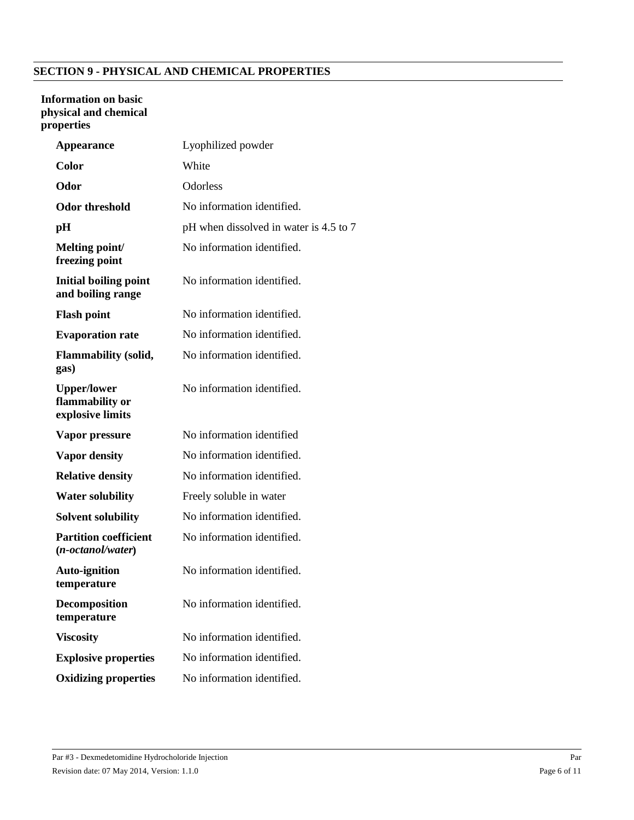# **SECTION 9 - PHYSICAL AND CHEMICAL PROPERTIES**

### **Information on basic physical and chemical properties**

| <b>Appearance</b>                                         | Lyophilized powder                     |
|-----------------------------------------------------------|----------------------------------------|
| Color                                                     | White                                  |
| Odor                                                      | <b>Odorless</b>                        |
| Odor threshold                                            | No information identified.             |
| pН                                                        | pH when dissolved in water is 4.5 to 7 |
| Melting point/<br>freezing point                          | No information identified.             |
| <b>Initial boiling point</b><br>and boiling range         | No information identified.             |
| <b>Flash point</b>                                        | No information identified.             |
| <b>Evaporation rate</b>                                   | No information identified.             |
| <b>Flammability (solid,</b><br>gas)                       | No information identified.             |
| <b>Upper/lower</b><br>flammability or<br>explosive limits | No information identified.             |
| Vapor pressure                                            | No information identified              |
| <b>Vapor density</b>                                      | No information identified.             |
| <b>Relative density</b>                                   | No information identified.             |
| <b>Water solubility</b>                                   | Freely soluble in water                |
| <b>Solvent solubility</b>                                 | No information identified.             |
| <b>Partition coefficient</b><br>$(n-octanol/water)$       | No information identified.             |
| <b>Auto-ignition</b><br>temperature                       | No information identified.             |
| <b>Decomposition</b><br>temperature                       | No information identified.             |
| <b>Viscosity</b>                                          | No information identified.             |
| <b>Explosive properties</b>                               | No information identified.             |
| <b>Oxidizing properties</b>                               | No information identified.             |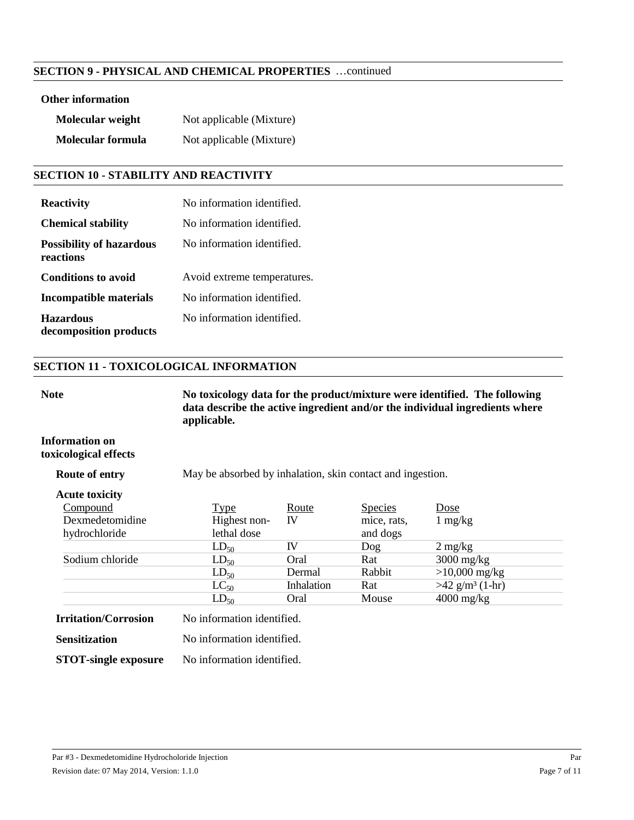### **SECTION 9 - PHYSICAL AND CHEMICAL PROPERTIES** …continued

#### **Other information**

| Molecular weight  | Not applicable (Mixture) |
|-------------------|--------------------------|
| Molecular formula | Not applicable (Mixture) |

#### **SECTION 10 - STABILITY AND REACTIVITY**

| <b>Reactivity</b>                            | No information identified.  |
|----------------------------------------------|-----------------------------|
| <b>Chemical stability</b>                    | No information identified.  |
| <b>Possibility of hazardous</b><br>reactions | No information identified.  |
| <b>Conditions to avoid</b>                   | Avoid extreme temperatures. |
| Incompatible materials                       | No information identified.  |
| <b>Hazardous</b><br>decomposition products   | No information identified.  |

#### **SECTION 11 - TOXICOLOGICAL INFORMATION**

**Note No toxicology data for the product/mixture were identified. The following data describe the active ingredient and/or the individual ingredients where applicable.**

**Information on toxicological effects**

**Route of entry** May be absorbed by inhalation, skin contact and ingestion.

| <b>Acute toxicity</b> |              |            |                |                               |
|-----------------------|--------------|------------|----------------|-------------------------------|
| Compound              | Type         | Route      | <b>Species</b> | <u>Dose</u>                   |
| Dexmedetomidine       | Highest non- | IV         | mice, rats,    | $1 \text{ mg/kg}$             |
| hydrochloride         | lethal dose  |            | and dogs       |                               |
|                       | $LD_{50}$    | IV         | Doq            | $2 \text{ mg/kg}$             |
| Sodium chloride       | $LD_{50}$    | Oral       | Rat            | $3000 \text{ mg/kg}$          |
|                       | $LD_{50}$    | Dermal     | Rabbit         | $>10,000$ mg/kg               |
|                       | $LC_{50}$    | Inhalation | Rat            | $>42$ g/m <sup>3</sup> (1-hr) |
|                       | $LD_{50}$    | Oral       | Mouse          | $4000$ mg/kg                  |

| <b>Irritation/Corrosion</b> | No information identified. |  |  |
|-----------------------------|----------------------------|--|--|
|                             |                            |  |  |

**Sensitization** No information identified.

**STOT-single exposure** No information identified.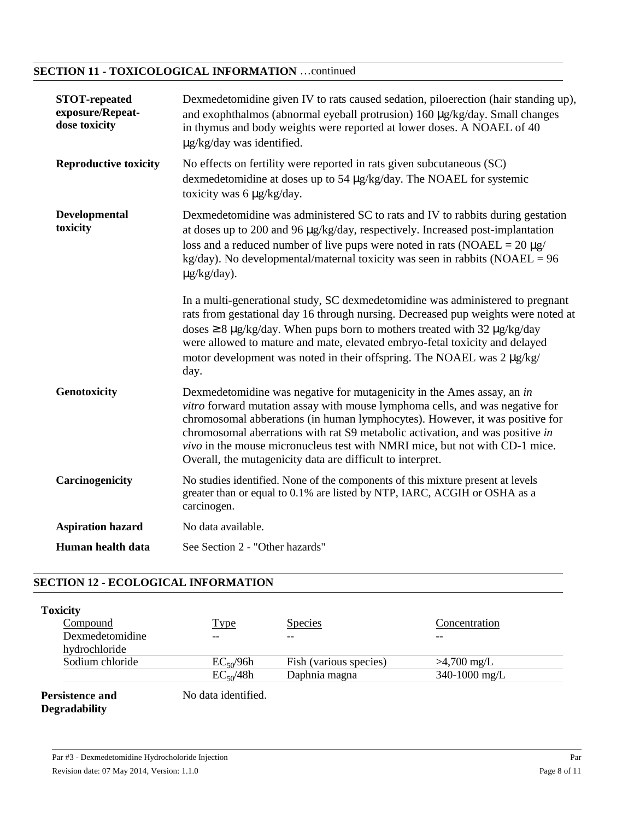# **SECTION 11 - TOXICOLOGICAL INFORMATION** …continued

| <b>STOT-repeated</b><br>exposure/Repeat-<br>dose toxicity | Dexmedetomidine given IV to rats caused sedation, piloerection (hair standing up),<br>and exophthalmos (abnormal eyeball protrusion) 160 µg/kg/day. Small changes<br>in thymus and body weights were reported at lower doses. A NOAEL of 40<br>$\mu$ g/kg/day was identified.                                                                                                                                                                                        |
|-----------------------------------------------------------|----------------------------------------------------------------------------------------------------------------------------------------------------------------------------------------------------------------------------------------------------------------------------------------------------------------------------------------------------------------------------------------------------------------------------------------------------------------------|
| <b>Reproductive toxicity</b>                              | No effects on fertility were reported in rats given subcutaneous (SC)<br>dexmedetomidine at doses up to 54 µg/kg/day. The NOAEL for systemic<br>toxicity was 6 µg/kg/day.                                                                                                                                                                                                                                                                                            |
| <b>Developmental</b><br>toxicity                          | Dexmedetomidine was administered SC to rats and IV to rabbits during gestation<br>at doses up to 200 and 96 µg/kg/day, respectively. Increased post-implantation<br>loss and a reduced number of live pups were noted in rats (NOAEL = $20 \mu g$ /<br>$\text{kg/day}$ ). No developmental/maternal toxicity was seen in rabbits (NOAEL = 96<br>$\mu$ g/kg/day).                                                                                                     |
|                                                           | In a multi-generational study, SC dexmedetomidine was administered to pregnant<br>rats from gestational day 16 through nursing. Decreased pup weights were noted at<br>doses $\geq 8 \mu g/kg/day$ . When pups born to mothers treated with 32 $\mu g/kg/day$<br>were allowed to mature and mate, elevated embryo-fetal toxicity and delayed<br>motor development was noted in their offspring. The NOAEL was 2 µg/kg/<br>day.                                       |
| Genotoxicity                                              | Dexmedetomidine was negative for mutagenicity in the Ames assay, an in<br>vitro forward mutation assay with mouse lymphoma cells, and was negative for<br>chromosomal abberations (in human lymphocytes). However, it was positive for<br>chromosomal aberrations with rat S9 metabolic activation, and was positive in<br>vivo in the mouse micronucleus test with NMRI mice, but not with CD-1 mice.<br>Overall, the mutagenicity data are difficult to interpret. |
| Carcinogenicity                                           | No studies identified. None of the components of this mixture present at levels<br>greater than or equal to 0.1% are listed by NTP, IARC, ACGIH or OSHA as a<br>carcinogen.                                                                                                                                                                                                                                                                                          |
| <b>Aspiration hazard</b>                                  | No data available.                                                                                                                                                                                                                                                                                                                                                                                                                                                   |
| Human health data                                         | See Section 2 - "Other hazards"                                                                                                                                                                                                                                                                                                                                                                                                                                      |

# **SECTION 12 - ECOLOGICAL INFORMATION**

| <b>Toxicity</b>        |                     |                        |                       |
|------------------------|---------------------|------------------------|-----------------------|
| Compound               | <b>Type</b>         | <b>Species</b>         | Concentration         |
| Dexmedetomidine        |                     | --                     |                       |
| hydrochloride          |                     |                        |                       |
| Sodium chloride        | $EC_{50}/96h$       | Fish (various species) | $>4,700 \text{ mg/L}$ |
|                        | $EC_{50}/48h$       | Daphnia magna          | 340-1000 mg/L         |
| <b>Persistence and</b> | No data identified. |                        |                       |
| <b>Degradability</b>   |                     |                        |                       |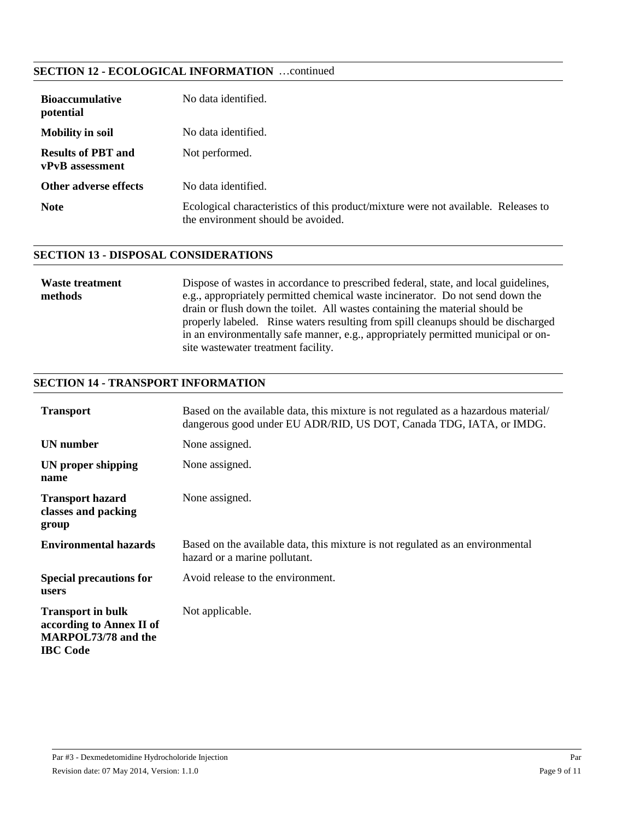### **SECTION 12 - ECOLOGICAL INFORMATION** …continued

| <b>Bioaccumulative</b><br>potential          | No data identified.                                                                                                      |
|----------------------------------------------|--------------------------------------------------------------------------------------------------------------------------|
| <b>Mobility in soil</b>                      | No data identified.                                                                                                      |
| <b>Results of PBT and</b><br>vPvB assessment | Not performed.                                                                                                           |
| Other adverse effects                        | No data identified.                                                                                                      |
| <b>Note</b>                                  | Ecological characteristics of this product/mixture were not available. Releases to<br>the environment should be avoided. |

### **SECTION 13 - DISPOSAL CONSIDERATIONS**

#### **Waste treatment methods** Dispose of wastes in accordance to prescribed federal, state, and local guidelines, e.g., appropriately permitted chemical waste incinerator. Do not send down the drain or flush down the toilet. All wastes containing the material should be properly labeled. Rinse waters resulting from spill cleanups should be discharged in an environmentally safe manner, e.g., appropriately permitted municipal or onsite wastewater treatment facility.

#### **SECTION 14 - TRANSPORT INFORMATION**

| <b>Transport</b>                                                                                      | Based on the available data, this mixture is not regulated as a hazardous material<br>dangerous good under EU ADR/RID, US DOT, Canada TDG, IATA, or IMDG. |
|-------------------------------------------------------------------------------------------------------|-----------------------------------------------------------------------------------------------------------------------------------------------------------|
| UN number                                                                                             | None assigned.                                                                                                                                            |
| UN proper shipping<br>name                                                                            | None assigned.                                                                                                                                            |
| <b>Transport hazard</b><br>classes and packing<br>group                                               | None assigned.                                                                                                                                            |
| <b>Environmental hazards</b>                                                                          | Based on the available data, this mixture is not regulated as an environmental<br>hazard or a marine pollutant.                                           |
| <b>Special precautions for</b><br>users                                                               | Avoid release to the environment.                                                                                                                         |
| <b>Transport in bulk</b><br>according to Annex II of<br><b>MARPOL73/78</b> and the<br><b>IBC Code</b> | Not applicable.                                                                                                                                           |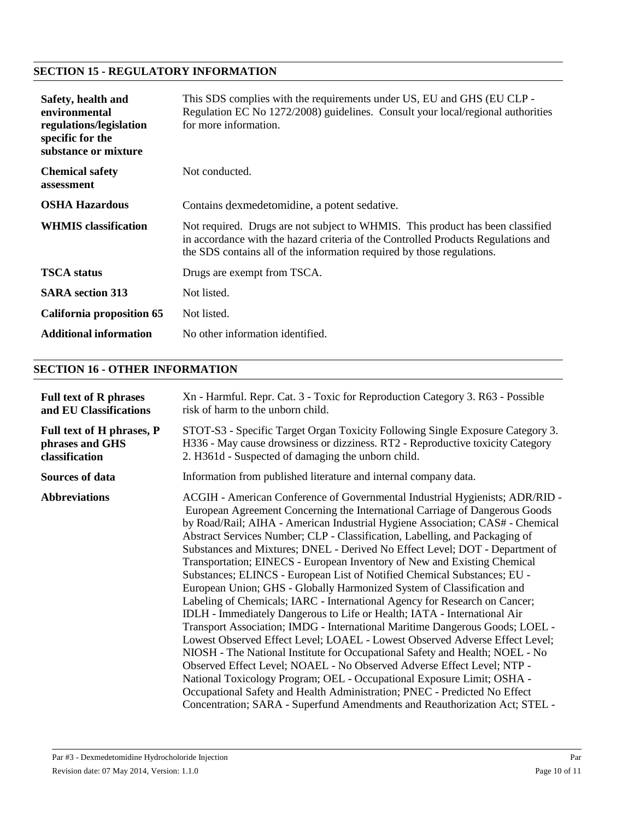# **SECTION 15 - REGULATORY INFORMATION**

| Safety, health and<br>environmental<br>regulations/legislation<br>specific for the<br>substance or mixture | This SDS complies with the requirements under US, EU and GHS (EU CLP -<br>Regulation EC No 1272/2008) guidelines. Consult your local/regional authorities<br>for more information.                                                            |
|------------------------------------------------------------------------------------------------------------|-----------------------------------------------------------------------------------------------------------------------------------------------------------------------------------------------------------------------------------------------|
| <b>Chemical safety</b><br>assessment                                                                       | Not conducted.                                                                                                                                                                                                                                |
| <b>OSHA Hazardous</b>                                                                                      | Contains dexmedetomidine, a potent sedative.                                                                                                                                                                                                  |
| <b>WHMIS</b> classification                                                                                | Not required. Drugs are not subject to WHMIS. This product has been classified<br>in accordance with the hazard criteria of the Controlled Products Regulations and<br>the SDS contains all of the information required by those regulations. |
| <b>TSCA</b> status                                                                                         | Drugs are exempt from TSCA.                                                                                                                                                                                                                   |
| <b>SARA</b> section 313                                                                                    | Not listed.                                                                                                                                                                                                                                   |
| California proposition 65                                                                                  | Not listed.                                                                                                                                                                                                                                   |
| <b>Additional information</b>                                                                              | No other information identified.                                                                                                                                                                                                              |

# **SECTION 16 - OTHER INFORMATION**

| <b>Full text of R phrases</b> | Xn - Harmful. Repr. Cat. 3 - Toxic for Reproduction Category 3. R63 - Possible                                                                                                                                                                                                                                                                                                                                                                                                                                                                                                                                                                                                                                                                                                                                                                                                                                                                                                                                                                                                                                                                                                                                                                                                                                                                                        |
|-------------------------------|-----------------------------------------------------------------------------------------------------------------------------------------------------------------------------------------------------------------------------------------------------------------------------------------------------------------------------------------------------------------------------------------------------------------------------------------------------------------------------------------------------------------------------------------------------------------------------------------------------------------------------------------------------------------------------------------------------------------------------------------------------------------------------------------------------------------------------------------------------------------------------------------------------------------------------------------------------------------------------------------------------------------------------------------------------------------------------------------------------------------------------------------------------------------------------------------------------------------------------------------------------------------------------------------------------------------------------------------------------------------------|
| and EU Classifications        | risk of harm to the unborn child.                                                                                                                                                                                                                                                                                                                                                                                                                                                                                                                                                                                                                                                                                                                                                                                                                                                                                                                                                                                                                                                                                                                                                                                                                                                                                                                                     |
| Full text of H phrases, P     | STOT-S3 - Specific Target Organ Toxicity Following Single Exposure Category 3.                                                                                                                                                                                                                                                                                                                                                                                                                                                                                                                                                                                                                                                                                                                                                                                                                                                                                                                                                                                                                                                                                                                                                                                                                                                                                        |
| phrases and GHS               | H336 - May cause drowsiness or dizziness. RT2 - Reproductive toxicity Category                                                                                                                                                                                                                                                                                                                                                                                                                                                                                                                                                                                                                                                                                                                                                                                                                                                                                                                                                                                                                                                                                                                                                                                                                                                                                        |
| classification                | 2. H361d - Suspected of damaging the unborn child.                                                                                                                                                                                                                                                                                                                                                                                                                                                                                                                                                                                                                                                                                                                                                                                                                                                                                                                                                                                                                                                                                                                                                                                                                                                                                                                    |
| Sources of data               | Information from published literature and internal company data.                                                                                                                                                                                                                                                                                                                                                                                                                                                                                                                                                                                                                                                                                                                                                                                                                                                                                                                                                                                                                                                                                                                                                                                                                                                                                                      |
| <b>Abbreviations</b>          | ACGIH - American Conference of Governmental Industrial Hygienists; ADR/RID -<br>European Agreement Concerning the International Carriage of Dangerous Goods<br>by Road/Rail; AIHA - American Industrial Hygiene Association; CAS# - Chemical<br>Abstract Services Number; CLP - Classification, Labelling, and Packaging of<br>Substances and Mixtures; DNEL - Derived No Effect Level; DOT - Department of<br>Transportation; EINECS - European Inventory of New and Existing Chemical<br>Substances; ELINCS - European List of Notified Chemical Substances; EU -<br>European Union; GHS - Globally Harmonized System of Classification and<br>Labeling of Chemicals; IARC - International Agency for Research on Cancer;<br>IDLH - Immediately Dangerous to Life or Health; IATA - International Air<br>Transport Association; IMDG - International Maritime Dangerous Goods; LOEL -<br>Lowest Observed Effect Level; LOAEL - Lowest Observed Adverse Effect Level;<br>NIOSH - The National Institute for Occupational Safety and Health; NOEL - No<br>Observed Effect Level; NOAEL - No Observed Adverse Effect Level; NTP -<br>National Toxicology Program; OEL - Occupational Exposure Limit; OSHA -<br>Occupational Safety and Health Administration; PNEC - Predicted No Effect<br>Concentration; SARA - Superfund Amendments and Reauthorization Act; STEL - |